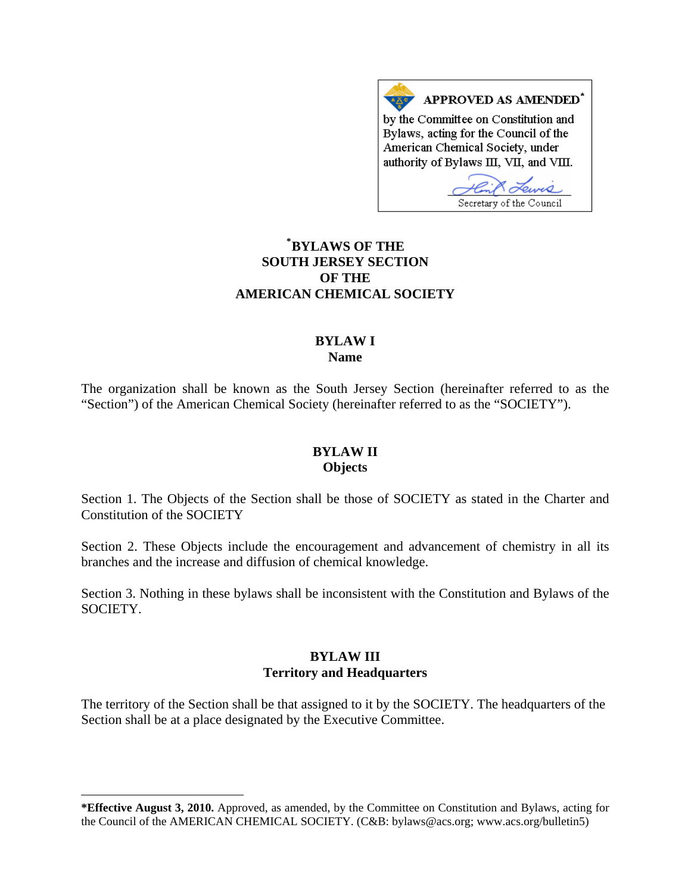APPROVED AS AMENDED<sup>\*</sup> by the Committee on Constitution and Bylaws, acting for the Council of the American Chemical Society, under authority of Bylaws III, VII, and VIII. Lewis

Secretary of the Council

# **\* [BYLAWS OF THE](#page-0-0)  SOUTH JERSEY SECTION OF THE AMERICAN CHEMICAL SOCIETY**

## **BYLAW I Name**

The organization shall be known as the South Jersey Section (hereinafter referred to as the "Section") of the American Chemical Society (hereinafter referred to as the "SOCIETY").

## **BYLAW II Objects**

Section 1. The Objects of the Section shall be those of SOCIETY as stated in the Charter and Constitution of the SOCIETY

Section 2. These Objects include the encouragement and advancement of chemistry in all its branches and the increase and diffusion of chemical knowledge.

Section 3. Nothing in these bylaws shall be inconsistent with the Constitution and Bylaws of the SOCIETY.

## **BYLAW III Territory and Headquarters**

The territory of the Section shall be that assigned to it by the SOCIETY. The headquarters of the Section shall be at a place designated by the Executive Committee.

l

<span id="page-0-0"></span>**<sup>\*</sup>Effective August 3, 2010.** Approved, as amended, by the Committee on Constitution and Bylaws, acting for the Council of the AMERICAN CHEMICAL SOCIETY. (C&B: bylaws@acs.org; www.acs.org/bulletin5)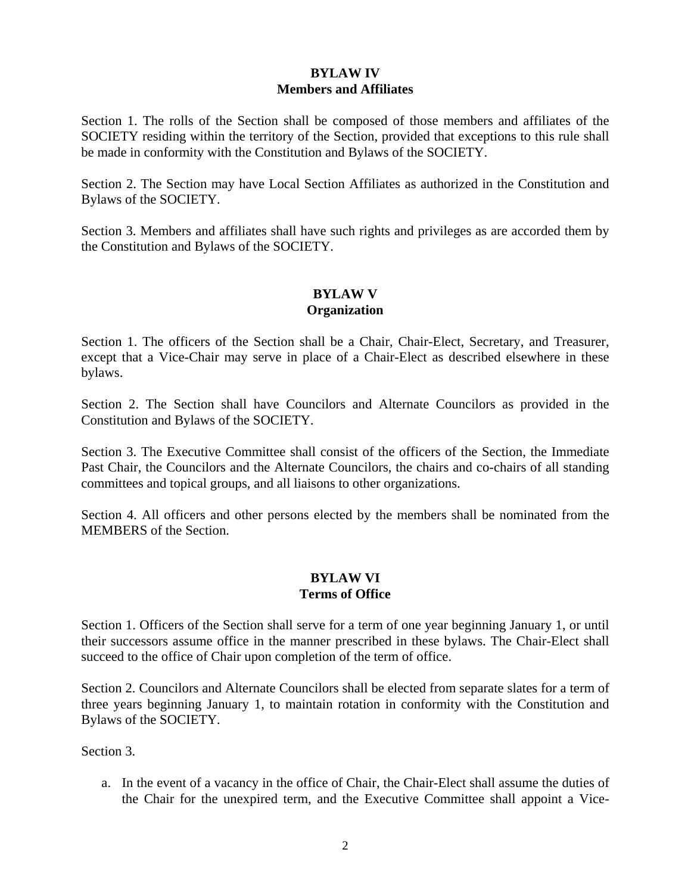# **BYLAW IV Members and Affiliates**

Section 1. The rolls of the Section shall be composed of those members and affiliates of the SOCIETY residing within the territory of the Section, provided that exceptions to this rule shall be made in conformity with the Constitution and Bylaws of the SOCIETY.

Section 2. The Section may have Local Section Affiliates as authorized in the Constitution and Bylaws of the SOCIETY.

Section 3. Members and affiliates shall have such rights and privileges as are accorded them by the Constitution and Bylaws of the SOCIETY.

# **BYLAW V Organization**

Section 1. The officers of the Section shall be a Chair, Chair-Elect, Secretary, and Treasurer, except that a Vice-Chair may serve in place of a Chair-Elect as described elsewhere in these bylaws.

Section 2. The Section shall have Councilors and Alternate Councilors as provided in the Constitution and Bylaws of the SOCIETY.

Section 3. The Executive Committee shall consist of the officers of the Section, the Immediate Past Chair, the Councilors and the Alternate Councilors, the chairs and co-chairs of all standing committees and topical groups, and all liaisons to other organizations.

Section 4. All officers and other persons elected by the members shall be nominated from the MEMBERS of the Section.

# **BYLAW VI Terms of Office**

Section 1. Officers of the Section shall serve for a term of one year beginning January 1, or until their successors assume office in the manner prescribed in these bylaws. The Chair-Elect shall succeed to the office of Chair upon completion of the term of office.

Section 2. Councilors and Alternate Councilors shall be elected from separate slates for a term of three years beginning January 1, to maintain rotation in conformity with the Constitution and Bylaws of the SOCIETY.

Section 3.

a. In the event of a vacancy in the office of Chair, the Chair-Elect shall assume the duties of the Chair for the unexpired term, and the Executive Committee shall appoint a Vice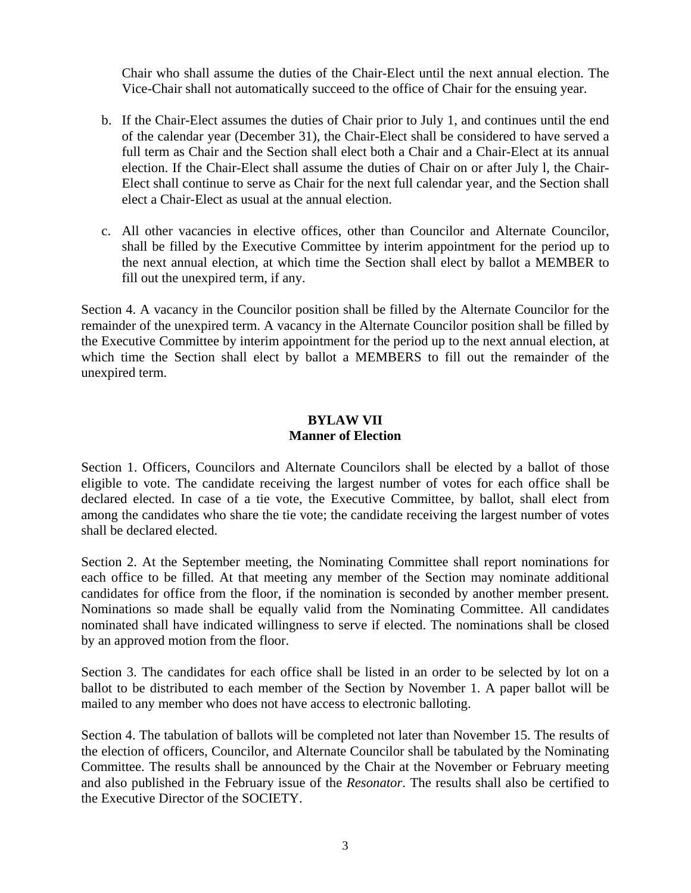Chair who shall assume the duties of the Chair-Elect until the next annual election. The Vice-Chair shall not automatically succeed to the office of Chair for the ensuing year.

- b. If the Chair-Elect assumes the duties of Chair prior to July 1, and continues until the end of the calendar year (December 31), the Chair-Elect shall be considered to have served a full term as Chair and the Section shall elect both a Chair and a Chair-Elect at its annual election. If the Chair-Elect shall assume the duties of Chair on or after July l, the Chair-Elect shall continue to serve as Chair for the next full calendar year, and the Section shall elect a Chair-Elect as usual at the annual election.
- c. All other vacancies in elective offices, other than Councilor and Alternate Councilor, shall be filled by the Executive Committee by interim appointment for the period up to the next annual election, at which time the Section shall elect by ballot a MEMBER to fill out the unexpired term, if any.

Section 4. A vacancy in the Councilor position shall be filled by the Alternate Councilor for the remainder of the unexpired term. A vacancy in the Alternate Councilor position shall be filled by the Executive Committee by interim appointment for the period up to the next annual election, at which time the Section shall elect by ballot a MEMBERS to fill out the remainder of the unexpired term.

## **BYLAW VII Manner of Election**

Section 1. Officers, Councilors and Alternate Councilors shall be elected by a ballot of those eligible to vote. The candidate receiving the largest number of votes for each office shall be declared elected. In case of a tie vote, the Executive Committee, by ballot, shall elect from among the candidates who share the tie vote; the candidate receiving the largest number of votes shall be declared elected.

Section 2. At the September meeting, the Nominating Committee shall report nominations for each office to be filled. At that meeting any member of the Section may nominate additional candidates for office from the floor, if the nomination is seconded by another member present. Nominations so made shall be equally valid from the Nominating Committee. All candidates nominated shall have indicated willingness to serve if elected. The nominations shall be closed by an approved motion from the floor.

Section 3. The candidates for each office shall be listed in an order to be selected by lot on a ballot to be distributed to each member of the Section by November 1. A paper ballot will be mailed to any member who does not have access to electronic balloting.

Section 4. The tabulation of ballots will be completed not later than November 15. The results of the election of officers, Councilor, and Alternate Councilor shall be tabulated by the Nominating Committee. The results shall be announced by the Chair at the November or February meeting and also published in the February issue of the *Resonator*. The results shall also be certified to the Executive Director of the SOCIETY.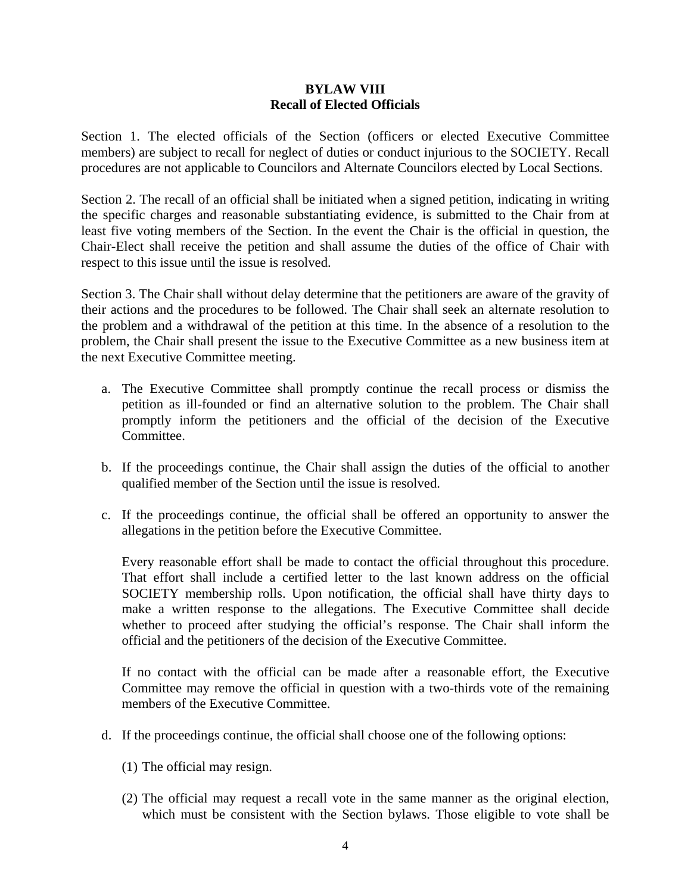#### **BYLAW VIII Recall of Elected Officials**

Section 1. The elected officials of the Section (officers or elected Executive Committee members) are subject to recall for neglect of duties or conduct injurious to the SOCIETY. Recall procedures are not applicable to Councilors and Alternate Councilors elected by Local Sections.

Section 2. The recall of an official shall be initiated when a signed petition, indicating in writing the specific charges and reasonable substantiating evidence, is submitted to the Chair from at least five voting members of the Section. In the event the Chair is the official in question, the Chair-Elect shall receive the petition and shall assume the duties of the office of Chair with respect to this issue until the issue is resolved.

Section 3. The Chair shall without delay determine that the petitioners are aware of the gravity of their actions and the procedures to be followed. The Chair shall seek an alternate resolution to the problem and a withdrawal of the petition at this time. In the absence of a resolution to the problem, the Chair shall present the issue to the Executive Committee as a new business item at the next Executive Committee meeting.

- a. The Executive Committee shall promptly continue the recall process or dismiss the petition as ill-founded or find an alternative solution to the problem. The Chair shall promptly inform the petitioners and the official of the decision of the Executive Committee.
- b. If the proceedings continue, the Chair shall assign the duties of the official to another qualified member of the Section until the issue is resolved.
- c. If the proceedings continue, the official shall be offered an opportunity to answer the allegations in the petition before the Executive Committee.

Every reasonable effort shall be made to contact the official throughout this procedure. That effort shall include a certified letter to the last known address on the official SOCIETY membership rolls. Upon notification, the official shall have thirty days to make a written response to the allegations. The Executive Committee shall decide whether to proceed after studying the official's response. The Chair shall inform the official and the petitioners of the decision of the Executive Committee.

If no contact with the official can be made after a reasonable effort, the Executive Committee may remove the official in question with a two-thirds vote of the remaining members of the Executive Committee.

- d. If the proceedings continue, the official shall choose one of the following options:
	- (1) The official may resign.
	- (2) The official may request a recall vote in the same manner as the original election, which must be consistent with the Section bylaws. Those eligible to vote shall be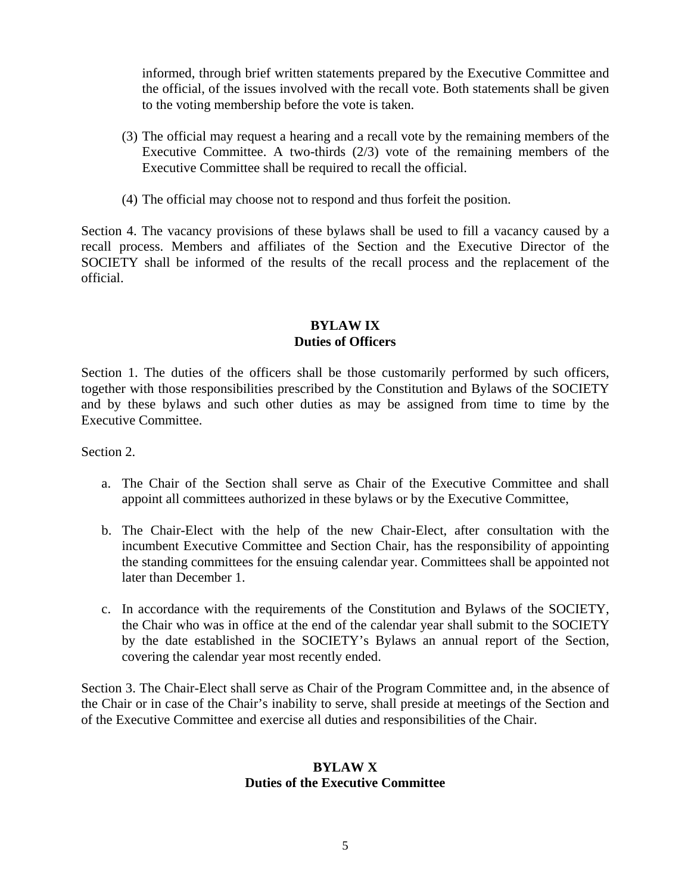informed, through brief written statements prepared by the Executive Committee and the official, of the issues involved with the recall vote. Both statements shall be given to the voting membership before the vote is taken.

- (3) The official may request a hearing and a recall vote by the remaining members of the Executive Committee. A two-thirds (2/3) vote of the remaining members of the Executive Committee shall be required to recall the official.
- (4) The official may choose not to respond and thus forfeit the position.

Section 4. The vacancy provisions of these bylaws shall be used to fill a vacancy caused by a recall process. Members and affiliates of the Section and the Executive Director of the SOCIETY shall be informed of the results of the recall process and the replacement of the official.

#### **BYLAW IX Duties of Officers**

Section 1. The duties of the officers shall be those customarily performed by such officers, together with those responsibilities prescribed by the Constitution and Bylaws of the SOCIETY and by these bylaws and such other duties as may be assigned from time to time by the Executive Committee.

Section 2.

- a. The Chair of the Section shall serve as Chair of the Executive Committee and shall appoint all committees authorized in these bylaws or by the Executive Committee,
- b. The Chair-Elect with the help of the new Chair-Elect, after consultation with the incumbent Executive Committee and Section Chair, has the responsibility of appointing the standing committees for the ensuing calendar year. Committees shall be appointed not later than December 1.
- c. In accordance with the requirements of the Constitution and Bylaws of the SOCIETY, the Chair who was in office at the end of the calendar year shall submit to the SOCIETY by the date established in the SOCIETY's Bylaws an annual report of the Section, covering the calendar year most recently ended.

Section 3. The Chair-Elect shall serve as Chair of the Program Committee and, in the absence of the Chair or in case of the Chair's inability to serve, shall preside at meetings of the Section and of the Executive Committee and exercise all duties and responsibilities of the Chair.

#### **BYLAW X Duties of the Executive Committee**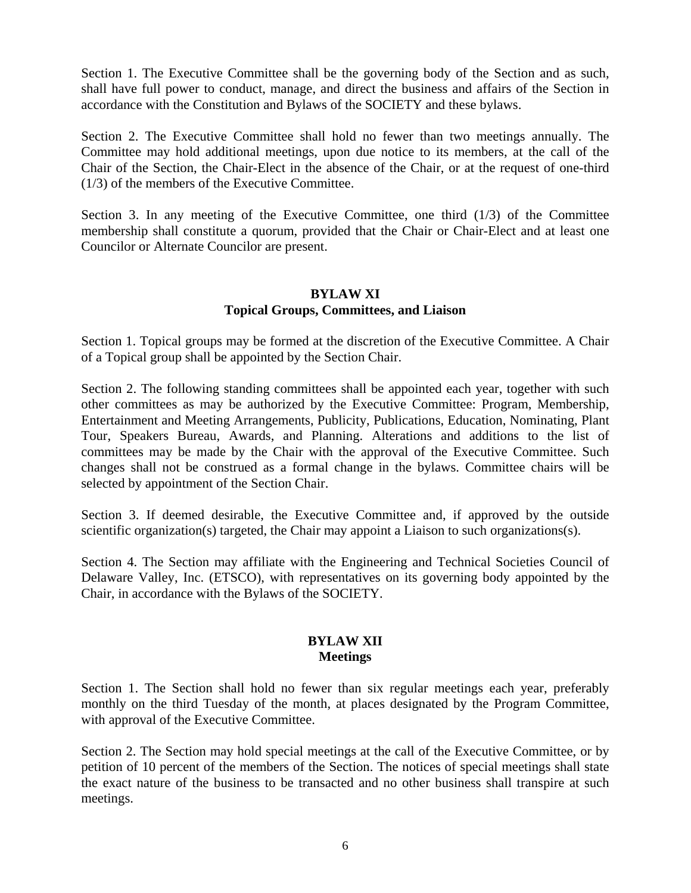Section 1. The Executive Committee shall be the governing body of the Section and as such, shall have full power to conduct, manage, and direct the business and affairs of the Section in accordance with the Constitution and Bylaws of the SOCIETY and these bylaws.

Section 2. The Executive Committee shall hold no fewer than two meetings annually. The Committee may hold additional meetings, upon due notice to its members, at the call of the Chair of the Section, the Chair-Elect in the absence of the Chair, or at the request of one-third (1/3) of the members of the Executive Committee.

Section 3. In any meeting of the Executive Committee, one third  $(1/3)$  of the Committee membership shall constitute a quorum, provided that the Chair or Chair-Elect and at least one Councilor or Alternate Councilor are present.

# **BYLAW XI Topical Groups, Committees, and Liaison**

Section 1. Topical groups may be formed at the discretion of the Executive Committee. A Chair of a Topical group shall be appointed by the Section Chair.

Section 2. The following standing committees shall be appointed each year, together with such other committees as may be authorized by the Executive Committee: Program, Membership, Entertainment and Meeting Arrangements, Publicity, Publications, Education, Nominating, Plant Tour, Speakers Bureau, Awards, and Planning. Alterations and additions to the list of committees may be made by the Chair with the approval of the Executive Committee. Such changes shall not be construed as a formal change in the bylaws. Committee chairs will be selected by appointment of the Section Chair.

Section 3. If deemed desirable, the Executive Committee and, if approved by the outside scientific organization(s) targeted, the Chair may appoint a Liaison to such organizations(s).

Section 4. The Section may affiliate with the Engineering and Technical Societies Council of Delaware Valley, Inc. (ETSCO), with representatives on its governing body appointed by the Chair, in accordance with the Bylaws of the SOCIETY.

## **BYLAW XII Meetings**

Section 1. The Section shall hold no fewer than six regular meetings each year, preferably monthly on the third Tuesday of the month, at places designated by the Program Committee, with approval of the Executive Committee.

Section 2. The Section may hold special meetings at the call of the Executive Committee, or by petition of 10 percent of the members of the Section. The notices of special meetings shall state the exact nature of the business to be transacted and no other business shall transpire at such meetings.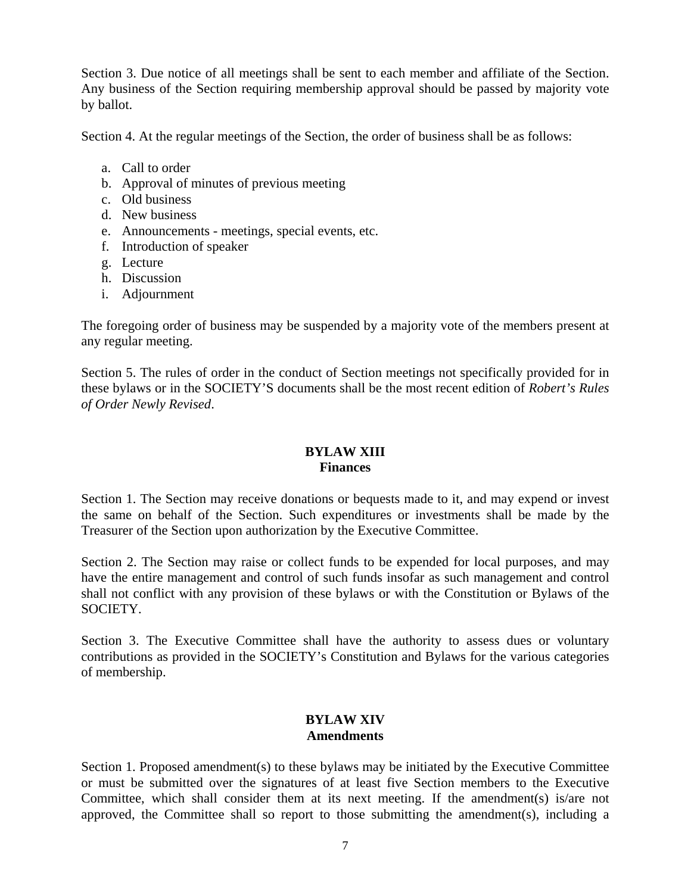Section 3. Due notice of all meetings shall be sent to each member and affiliate of the Section. Any business of the Section requiring membership approval should be passed by majority vote by ballot.

Section 4. At the regular meetings of the Section, the order of business shall be as follows:

- a. Call to order
- b. Approval of minutes of previous meeting
- c. Old business
- d. New business
- e. Announcements meetings, special events, etc.
- f. Introduction of speaker
- g. Lecture
- h. Discussion
- i. Adjournment

The foregoing order of business may be suspended by a majority vote of the members present at any regular meeting.

Section 5. The rules of order in the conduct of Section meetings not specifically provided for in these bylaws or in the SOCIETY'S documents shall be the most recent edition of *Robert's Rules of Order Newly Revised*.

# **BYLAW XIII Finances**

Section 1. The Section may receive donations or bequests made to it, and may expend or invest the same on behalf of the Section. Such expenditures or investments shall be made by the Treasurer of the Section upon authorization by the Executive Committee.

Section 2. The Section may raise or collect funds to be expended for local purposes, and may have the entire management and control of such funds insofar as such management and control shall not conflict with any provision of these bylaws or with the Constitution or Bylaws of the SOCIETY.

Section 3. The Executive Committee shall have the authority to assess dues or voluntary contributions as provided in the SOCIETY's Constitution and Bylaws for the various categories of membership.

## **BYLAW XIV Amendments**

Section 1. Proposed amendment(s) to these bylaws may be initiated by the Executive Committee or must be submitted over the signatures of at least five Section members to the Executive Committee, which shall consider them at its next meeting. If the amendment(s) is/are not approved, the Committee shall so report to those submitting the amendment(s), including a